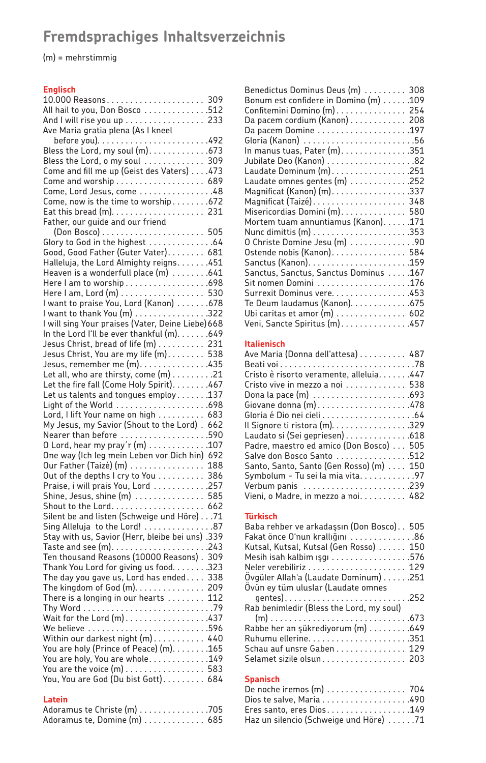# **Fremdsprachiges Inhaltsverzeichnis**

(m) = mehrstimmig

## **Englisch**

| And I will rise you up  233                                      |     |
|------------------------------------------------------------------|-----|
| Ave Maria gratia plena (As I kneel                               |     |
|                                                                  |     |
|                                                                  |     |
| Bless the Lord, o my soul 309                                    |     |
| Come and fill me up (Geist des Vaters) 473                       |     |
| Come and worship 689                                             |     |
| Come, Lord Jesus, come 48                                        |     |
| Come, now is the time to worship672                              |     |
|                                                                  | 231 |
| Father, our guide and our friend                                 |     |
|                                                                  |     |
|                                                                  |     |
| Good, Good Father (Guter Vater) 681                              |     |
| Halleluja, the Lord Almighty reigns451                           |     |
| Heaven is a wonderfull place $(m)$ 641                           |     |
|                                                                  |     |
| Here I am, Lord (m) 530                                          |     |
| l want to praise You, Lord (Kanon) 678                           |     |
| l want to thank You (m) 322                                      |     |
| I will sing Your praises (Vater, Deine Liebe) 668                |     |
| In the Lord I'll be ever thankful (m). 649                       |     |
| Jesus Christ, bread of life (m) 231                              |     |
| Jesus Christ, You are my life (m). 538                           |     |
| Jesus, remember me (m). 435                                      |     |
| Let all, who are thirsty, come (m) 21                            |     |
| Let the fire fall (Come Holy Spirit). 467                        |     |
| Let us talents and tongues employ137                             |     |
|                                                                  |     |
| Lord, I lift Your name on high 683                               |     |
| My Jesus, my Savior (Shout to the Lord). 662                     |     |
| Nearer than before 590                                           |     |
| 0 Lord, hear my pray'r (m) 107                                   |     |
| One way (Ich leg mein Leben vor Dich hin) 692                    |     |
| Our Father (Taizé) (m)                                           | 188 |
| Out of the depths I cry to You 386                               |     |
| Praise, i will prais You, Lord 257                               |     |
| Shine, Jesus, shine (m)  585                                     |     |
|                                                                  |     |
| Silent be and listen (Schweige und Höre) 71                      |     |
| Sing Alleluja to the Lord! 87                                    |     |
| 339. (Stay with us, Savior (Herr, bleibe bei uns)                |     |
|                                                                  |     |
| Ten thousand Reasons (10000 Reasons). 309                        |     |
| Thank You Lord for giving us food. 323                           |     |
| The day you gave us, Lord has ended                              | 338 |
| The kingdom of God $(m)$                                         | 209 |
| There is a longing in our hearts $\dots\dots$                    | 112 |
| Wait for the Lord (m)437                                         |     |
|                                                                  |     |
| Within our darkest night (m) 440                                 |     |
| You are holy (Prince of Peace) (m). 165                          |     |
| You are holy, You are whole149                                   |     |
|                                                                  |     |
| You are the voice (m) 583<br>You, You are God (Du bist Gott) 684 |     |
|                                                                  |     |

## **Latein**

| Adoramus te Christe (m) 705  |  |  |  |  |  |  |
|------------------------------|--|--|--|--|--|--|
| Adoramus te, Domine (m)  685 |  |  |  |  |  |  |

| Benedictus Dominus Deus (m) 308                |
|------------------------------------------------|
| Bonum est confidere in Domino (m) 109          |
| Confitemini Domino (m) 254                     |
| Da pacem cordium (Kanon) 208                   |
|                                                |
|                                                |
| In manus tuas, Pater $(m)$ . 351               |
| Jubilate Deo (Kanon) 82                        |
| Laudate Dominum (m). 251                       |
| Laudate omnes gentes (m) $\dots\dots\dots$ 252 |
| Magnificat (Kanon) (m). 337                    |
|                                                |
| Misericordias Domini (m). 580                  |
| Mortem tuam annuntiamus (Kanon). 171           |
|                                                |
| 0 Christe Domine Jesu (m) 90                   |
| Ostende nobis (Kanon) 584                      |
|                                                |
| Sanctus, Sanctus, Sanctus Dominus 167          |
|                                                |
| Surrexit Dominus vere. 453                     |
| Te Deum laudamus (Kanon). 675                  |
| Ubi caritas et amor (m) 602                    |
| Veni, Sancte Spiritus (m). 457                 |

### **Italienisch**

| Ave Maria (Donna dell'attesa) 487       |  |
|-----------------------------------------|--|
|                                         |  |
| Cristo è risorto veramente, alleluia447 |  |
| Cristo vive in mezzo a noi 538          |  |
|                                         |  |
|                                         |  |
|                                         |  |
| Il Signore ti ristora (m). 329          |  |
| Laudato si (Sei gepriesen) 618          |  |
| Padre, maestro ed amico (Don Bosco) 505 |  |
| Salve don Bosco Santo 512               |  |
| Santo, Santo, Santo (Gen Rosso) (m) 150 |  |
| Symbolum - Tu sei la mia vita97         |  |
|                                         |  |
| Vieni, o Madre, in mezzo a noi. 482     |  |

#### **Türkisch**

| Baba rehber ve arkadaşsın (Don Bosco) 505<br>Fakat önce O'nun krallığını 86 |  |
|-----------------------------------------------------------------------------|--|
|                                                                             |  |
| Kutsal, Kutsal, Kutsal (Gen Rosso)  150                                     |  |
| Mesih isah kalbim ışgı 576                                                  |  |
|                                                                             |  |
| Ovgüler Allah'a (Laudate Dominum) 251                                       |  |
| Ovün ey tüm uluslar (Laudate omnes                                          |  |
|                                                                             |  |
| Rab benimledir (Bless the Lord, my soul)                                    |  |
|                                                                             |  |
| Rabbe her an şükrediyorum (m) 649                                           |  |
|                                                                             |  |
| Schau auf unsre Gaben 129                                                   |  |
| Selamet sizile olsun 203                                                    |  |
|                                                                             |  |

## **Spanisch**

| De noche iremos (m)  704               |  |
|----------------------------------------|--|
| Dios te salve, Maria 490               |  |
| Eres santo, eres Dios149               |  |
| Haz un silencio (Schweige und Höre) 71 |  |